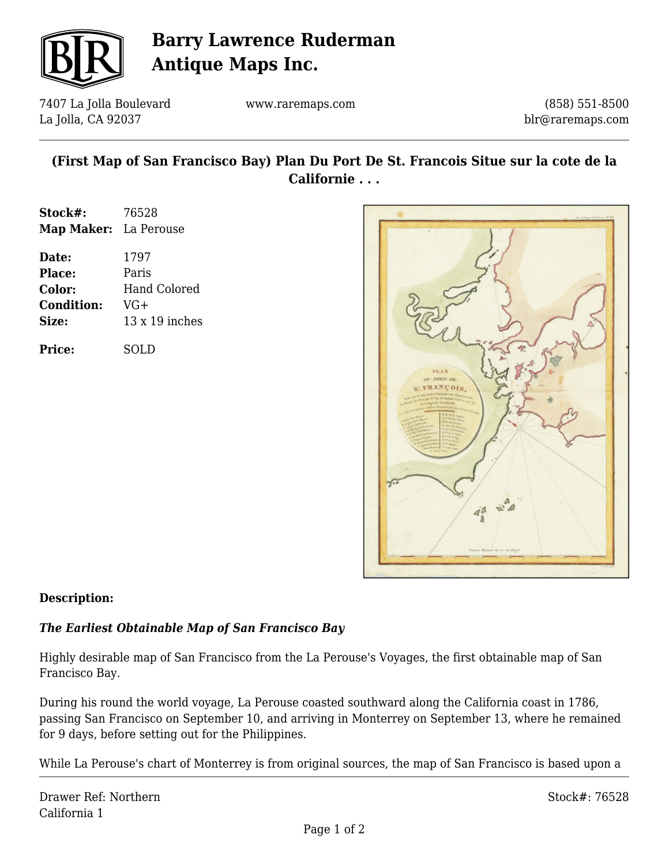

## **Barry Lawrence Ruderman Antique Maps Inc.**

7407 La Jolla Boulevard La Jolla, CA 92037

www.raremaps.com

(858) 551-8500 blr@raremaps.com

## **(First Map of San Francisco Bay) Plan Du Port De St. Francois Situe sur la cote de la Californie . . .**

| 76528                        |
|------------------------------|
| <b>Map Maker:</b> La Perouse |
| 1797                         |
| Paris                        |
| <b>Hand Colored</b>          |
| $VG+$                        |
|                              |

**Size:** 13 x 19 inches

**Price:** SOLD



### **Description:**

### *The Earliest Obtainable Map of San Francisco Bay*

Highly desirable map of San Francisco from the La Perouse's Voyages, the first obtainable map of San Francisco Bay.

During his round the world voyage, La Perouse coasted southward along the California coast in 1786, passing San Francisco on September 10, and arriving in Monterrey on September 13, where he remained for 9 days, before setting out for the Philippines.

While La Perouse's chart of Monterrey is from original sources, the map of San Francisco is based upon a